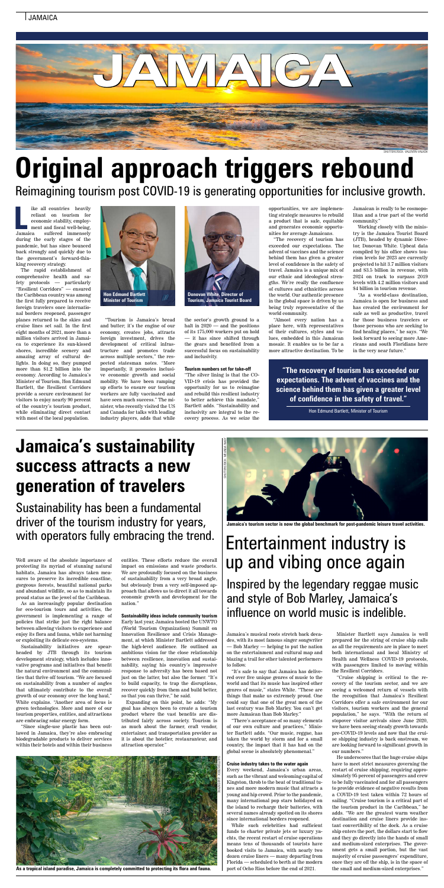ike all countries heavily reliant on tourism for economic stability, employment and fiscal well-being, suffered immensely during the early stages of the pandemic, but has since bounced back strongly and quickly due to the government's forward-thinking recovery strategy. Jamaica

The rapid establishment of comprehensive health and safety protocols — particularly "Resilient Corridors" — ensured the Caribbean country was among the first fully prepared to receive foreign travelers once international borders reopened, passenger planes returned to the skies and cruise lines set sail. In the first eight months of 2021, more than a million visitors arrived in Jamaica to experience its sun-kissed shores, incredible scenery and amazing array of cultural delights. In doing so, they pumped more than \$1.2 billion into the economy. According to Jamaica's Minister of Tourism, Hon Edmund Bartlett, the Resilient Corridors provide a secure environment for visitors to enjoy nearly 90 percent of the country's tourism product, while eliminating direct contact with most of the local population.

"Tourism is Jamaica's bread and butter; it's the engine of our economy, creates jobs, attracts foreign investment, drives the development of critical infrastructure and promotes trade across multiple sectors," the respected statesman notes. "More importantly, it promotes inclusive economic growth and social mobility. We have been ramping up efforts to ensure our tourism workers are fully vaccinated and have seen much success." The minister, who recently visited the US and Canada for talks with leading industry players, adds that while

the sector's growth ground to a halt in 2020 — and the positions of its 175,000 workers put on hold — it has since shifted through the gears and benefited from a successful focus on sustainability and inclusivity.

#### **Tourism numbers set for take-off**

"The silver lining is that the CO-VID-19 crisis has provided the opportunity for us to reimagine and rebuild this resilient industry to better achieve this mandate, Bartlett adds. "Sustainability and inclusivity are integral to the recovery process. As we seize the

opportunities, we are implementing strategic measures to rebuild a product that is safe, equitable and generates economic opportunities for average Jamaicans.

"The recovery of tourism has exceeded our expectations. The advent of vaccines and the science behind them has given a greater level of confidence in the safety of travel. Jamaica is a unique mix of our ethnic and ideological strengths. We're really the confluence of cultures and ethnicities across the world. Our authentic presence in the global space is driven by us being truly representative of the world community.

"Almost every nation has a place here, with representatives of their cultures, styles and values, embedded in this Jamaican mosaic. It enables us to be far a more attractive destination. To be

Jamaican is really to be cosmopolitan and a true part of the world community."

Working closely with the ministry is the Jamaica Tourist Board (JTB), headed by dynamic Director, Donovan White. Upbeat data compiled by his office shows tourism levels for 2023 are currently projected to hit 3.7 million visitors and \$3.5 billion in revenue, with 2024 on track to surpass 2019 levels with 4.2 million visitors and \$4 billion in tourism revenue.

"As a world-class destination, Jamaica is open for business and has created the environment for safe as well as productive, travel for those business travelers or those persons who are seeking to find healing places," he says. "We look forward to seeing more Americans and south Floridians here in the very near future."

# **Original approach triggers rebound**

Reimagining tourism post COVID-19 is generating opportunities for inclusive growth.

**"The recovery of tourism has exceeded our expectations. The advent of vaccines and the science behind them has given a greater level of confidence in the safety of travel."**

Hon Edmund Bartlett, Minister of Tourism





Jamaica's musical roots stretch back decades, with its most famous singer songwriter — Bob Marley — helping to put the nation on the entertainment and cultural map and blazing a trail for other talented performers to follow.

"It's safe to say that Jamaica has delivered over five unique genres of music to the world and that its music has inspired other genres of music," states White. "These are things that make us extremely proud. One could say that one of the great men of the last century was Bob Marley. You can't get more Jamaican than Bob Marley."

"There's acceptance of so many elements of our own culture and practices," Minister Bartlett adds. "Our music, reggae, has taken the world by storm and for a small country, the impact that it has had on the global scene is absolutely phenomenal."

#### **Cruise industry takes to the water again**

Every weekend, Jamaica's urban areas, such as the vibrant and welcoming capital of Kingston, throb to the beat of traditional tunes and more modern music that attracts a young and hip crowd. Prior to the pandemic, many international pop stars holidayed on the island to recharge their batteries, with several names already spotted on its shores since international borders reopened.

While such celebrities had sufficient funds to charter private jets or luxury yachts, the recent restart of cruise operations means tens of thousands of tourists have booked visits to Jamaica, with nearly two dozen cruise liners — many departing from Florida — scheduled to berth at the modern port of Ocho Rios before the end of 2021.

Minister Bartlett says Jamaica is well prepared for the string of cruise ship calls as all the requirements are in place to meet both international and local Ministry of Health and Wellness COVID-19 protocols, with passengers limited to moving within the Resilient Corridors.

"Cruise shipping is critical to the recovery of the tourism sector, and we are seeing a welcomed return of vessels with the recognition that Jamaica's Resilient Corridors offer a safe environment for our visitors, tourism workers and the general population," he says. "With the return of stopover visitor arrivals since June 2020, we have been seeing steady growth towards pre-COVID-19 levels and now that the cruise shipping industry is back onstream, we are looking forward to significant growth in our numbers."

He underscores that the huge cruise ships have to meet strict measures governing the restart of cruise shipping, requiring approximately 95 percent of passengers and crew to be fully vaccinated and for all passengers to provide evidence of negative results from a COVID-19 test taken within 72 hours of sailing. "Cruise tourism is a critical part of the tourism product in the Caribbean," he adds. "We are the greatest warm weather destination and cruise liners provide instant convertibility of the dock. As a cruise ship enters the port, the dollars start to flow and they go directly into the hands of small and medium-sized enterprises. The government gets a small portion, but the vast majority of cruise passengers' expenditure, once they are off the ship, is in the space of the small and medium-sized enterprises."



## Entertainment industry is up and vibing once again

Inspired by the legendary reggae music and style of Bob Marley, Jamaica's influence on world music is indelible.



Well aware of the absolute importance of protecting its myriad of stunning natural habitats, Jamaica has always taken measures to preserve its incredible coastline, gorgeous forests, beautiful national parks and abundant wildlife, so as to maintain its proud status as the jewel of the Caribbean.

As an increasingly popular destination for eco-tourism tours and activities, the government is implementing a range of policies that strike just the right balance between allowing visitors to experience and enjoy its flora and fauna, while not harming or exploiting its delicate eco-systems.

Sustainability initiatives are spearheaded by JTB through its tourism development strategy, which includes innovative programs and initiatives that benefit the natural environment and the communities that thrive off tourism. "We are focused on sustainability from a number of angles that ultimately contribute to the overall growth of our economy over the long haul," White explains. "Another area of focus is green technologies. More and more of our tourism properties, entities, and attractions are embracing solar energy form.

"Since single-use plastic has been outlawed in Jamaica, they're also embracing biodegradable products to deliver services within their hotels and within their business entities. These efforts reduce the overall impact on emissions and waste products. We are profoundly focused on the business of sustainability from a very broad angle, but obviously from a very self-imposed approach that allows us to direct it all towards economic growth and development for the nation."

### **Sustainability ideas include community tourism**

Early last year, Jamaica hosted the UNWTO (World Tourism Organization) Summit on Innovation Resilience and Crisis Management, at which Minister Bartlett addressed the high-level audience. He outlined an ambitious vision for the close relationship between resilience, innovation and sustainability, saying his country's impressive response to adversity has been based not just on the latter, but also the former. "It's to build capacity, to trap the disruptions, recover quickly from them and build better, so that you can thrive," he said.

Expanding on this point, he adds: "My goal has always been to create a tourism product where the vast benefits are distributed fairly across society. Tourism is as much about the farmer, craft vendor, entertainer, and transportation provider as it is about the hotelier, restauranteur, and attraction operator."

## **Jamaica's sustainability success attracts a new generation of travelers**

### Sustainability has been a fundamental driver of the tourism industry for years, with operators fully embracing the trend.



**As a tropical island paradise, Jamaica is completely committed to protecting its flora and fauna.**